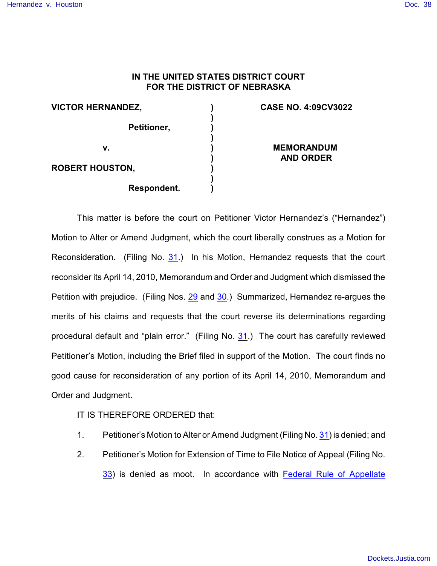## **IN THE UNITED STATES DISTRICT COURT FOR THE DISTRICT OF NEBRASKA**

**) ) ) ) ) ) ) ) )**

| <b>VICTOR HERNANDEZ,</b> |             |
|--------------------------|-------------|
|                          | Petitioner, |
| v.                       |             |
| <b>ROBERT HOUSTON,</b>   |             |
|                          | Respondent. |

## **CASE NO. 4:09CV3022**

**MEMORANDUM AND ORDER**

This matter is before the court on Petitioner Victor Hernandez's ("Hernandez") Motion to Alter or Amend Judgment, which the court liberally construes as a Motion for Reconsideration. (Filing No. [31](http://ecf.ned.uscourts.gov/doc1/11302018447).) In his Motion, Hernandez requests that the court reconsider its April 14, 2010, Memorandum and Order and Judgment which dismissed the Petition with prejudice. (Filing Nos. [29](https://ecf.ned.uscourts.gov/doc1/11311994033) and [30](https://ecf.ned.uscourts.gov/doc1/11311994051).) Summarized, Hernandez re-argues the merits of his claims and requests that the court reverse its determinations regarding procedural default and "plain error." (Filing No. [31](http://ecf.ned.uscourts.gov/doc1/11302018447).) The court has carefully reviewed Petitioner's Motion, including the Brief filed in support of the Motion. The court finds no good cause for reconsideration of any portion of its April 14, 2010, Memorandum and Order and Judgment.

## IT IS THEREFORE ORDERED that:

- 1. Petitioner's Motion to Alter or Amend Judgment (Filing No. [31](http://ecf.ned.uscourts.gov/doc1/11302018447)) is denied; and
- 2. Petitioner's Motion for Extension of Time to File Notice of Appeal (Filing No. [33](http://ecf.ned.uscourts.gov/doc1/11302018506)) is denied as moot. In accordance with [Federal Rule of Appellate](http://web2.westlaw.com/find/default.wl?ifm=NotSet&rp=%2ffind%2fdefault.wl&sv=Split&rs=WLW10.06&cite=frap+4&fn=_top&mt=Westlaw&vr=2.0)